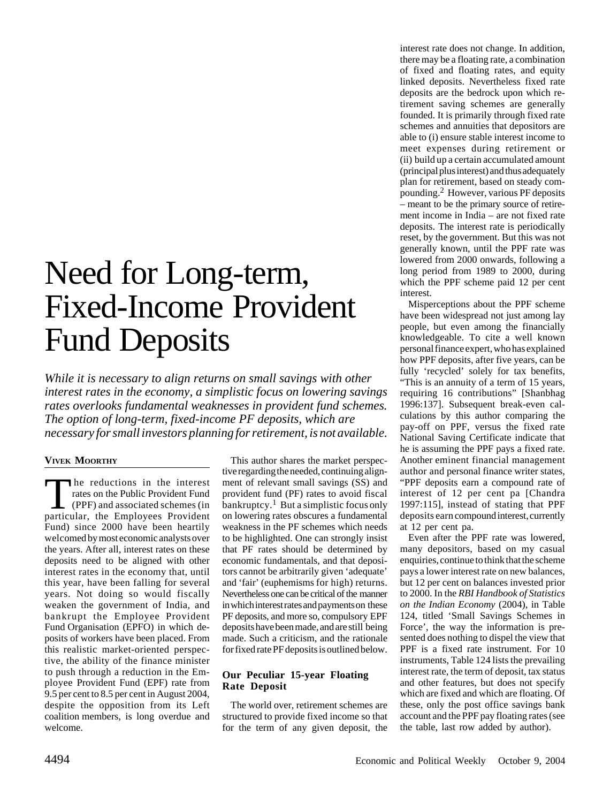# Need for Long-term, Fixed-Income Provident Fund Deposits

*While it is necessary to align returns on small savings with other interest rates in the economy, a simplistic focus on lowering savings rates overlooks fundamental weaknesses in provident fund schemes. The option of long-term, fixed-income PF deposits, which are necessary for small investors planning for retirement, is not available.*

# **VIVEK MOORTHY**

The reductions in the interest rates on the Public Provident Fund  $\Box$  (PPF) and associated schemes (in particular, the Employees Provident Fund) since 2000 have been heartily welcomed by most economic analysts over the years. After all, interest rates on these deposits need to be aligned with other interest rates in the economy that, until this year, have been falling for several years. Not doing so would fiscally weaken the government of India, and bankrupt the Employee Provident Fund Organisation (EPFO) in which deposits of workers have been placed. From this realistic market-oriented perspective, the ability of the finance minister to push through a reduction in the Employee Provident Fund (EPF) rate from 9.5 per cent to 8.5 per cent in August 2004, despite the opposition from its Left coalition members, is long overdue and welcome.

This author shares the market perspective regarding the needed, continuing alignment of relevant small savings (SS) and provident fund (PF) rates to avoid fiscal  $\bar{b}$ ankruptcy.<sup>1</sup> But a simplistic focus only on lowering rates obscures a fundamental weakness in the PF schemes which needs to be highlighted. One can strongly insist that PF rates should be determined by economic fundamentals, and that depositors cannot be arbitrarily given 'adequate' and 'fair' (euphemisms for high) returns. Nevertheless one can be critical of the manner in which interest rates and payments on these PF deposits, and more so, compulsory EPF deposits have been made, and are still being made. Such a criticism, and the rationale for fixed rate PF deposits is outlined below.

## **Our Peculiar 15-year Floating Rate Deposit**

The world over, retirement schemes are structured to provide fixed income so that for the term of any given deposit, the interest rate does not change. In addition, there may be a floating rate, a combination of fixed and floating rates, and equity linked deposits. Nevertheless fixed rate deposits are the bedrock upon which retirement saving schemes are generally founded. It is primarily through fixed rate schemes and annuities that depositors are able to (i) ensure stable interest income to meet expenses during retirement or (ii) build up a certain accumulated amount (principal plus interest) and thus adequately plan for retirement, based on steady compounding.2 However, various PF deposits – meant to be the primary source of retirement income in India – are not fixed rate deposits. The interest rate is periodically reset, by the government. But this was not generally known, until the PPF rate was lowered from 2000 onwards, following a long period from 1989 to 2000, during which the PPF scheme paid 12 per cent interest.

Misperceptions about the PPF scheme have been widespread not just among lay people, but even among the financially knowledgeable. To cite a well known personal finance expert, who has explained how PPF deposits, after five years, can be fully 'recycled' solely for tax benefits, "This is an annuity of a term of 15 years, requiring 16 contributions" [Shanbhag 1996:137]. Subsequent break-even calculations by this author comparing the pay-off on PPF, versus the fixed rate National Saving Certificate indicate that he is assuming the PPF pays a fixed rate. Another eminent financial management author and personal finance writer states, "PPF deposits earn a compound rate of interest of 12 per cent pa [Chandra 1997:115], instead of stating that PPF deposits earn compound interest, currently at 12 per cent pa.

Even after the PPF rate was lowered, many depositors, based on my casual enquiries, continue to think that the scheme pays a lower interest rate on new balances, but 12 per cent on balances invested prior to 2000. In the *RBI Handbook of Statistics on the Indian Economy* (2004), in Table 124, titled 'Small Savings Schemes in Force', the way the information is presented does nothing to dispel the view that PPF is a fixed rate instrument. For 10 instruments, Table 124 lists the prevailing interest rate, the term of deposit, tax status and other features, but does not specify which are fixed and which are floating. Of these, only the post office savings bank account and the PPF pay floating rates (see the table, last row added by author).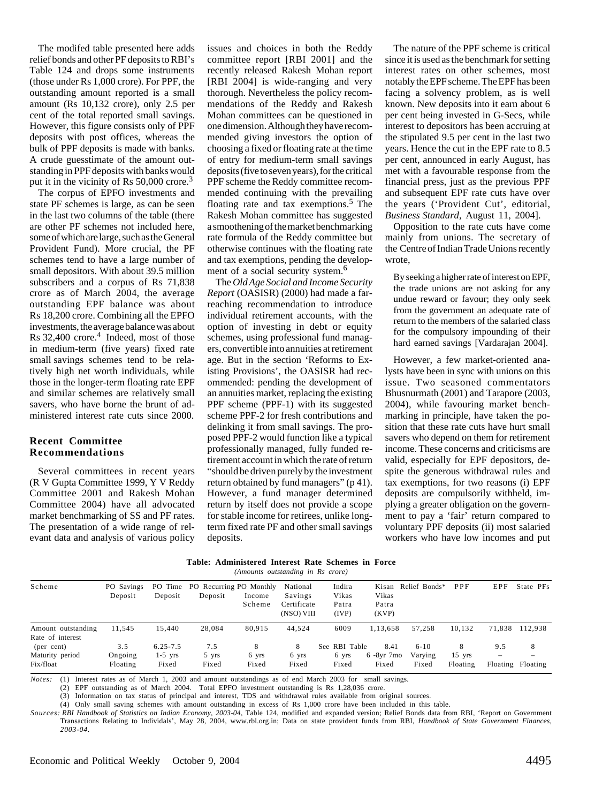The modifed table presented here adds relief bonds and other PF deposits to RBI's Table 124 and drops some instruments (those under Rs 1,000 crore). For PPF, the outstanding amount reported is a small amount (Rs 10,132 crore), only 2.5 per cent of the total reported small savings. However, this figure consists only of PPF deposits with post offices, whereas the bulk of PPF deposits is made with banks. A crude guesstimate of the amount outstanding in PPF deposits with banks would put it in the vicinity of Rs  $50,000$  crore.<sup>3</sup>

The corpus of EPFO investments and state PF schemes is large, as can be seen in the last two columns of the table (there are other PF schemes not included here, some of which are large, such as the General Provident Fund). More crucial, the PF schemes tend to have a large number of small depositors. With about 39.5 million subscribers and a corpus of Rs 71,838 crore as of March 2004, the average outstanding EPF balance was about Rs 18,200 crore. Combining all the EPFO investments, the average balance was about Rs 32,400 crore.<sup>4</sup> Indeed, most of those in medium-term (five years) fixed rate small savings schemes tend to be relatively high net worth individuals, while those in the longer-term floating rate EPF and similar schemes are relatively small savers, who have borne the brunt of administered interest rate cuts since 2000.

#### **Recent Committee Recommendations**

Several committees in recent years (R V Gupta Committee 1999, Y V Reddy Committee 2001 and Rakesh Mohan Committee 2004) have all advocated market benchmarking of SS and PF rates. The presentation of a wide range of relevant data and analysis of various policy

issues and choices in both the Reddy committee report [RBI 2001] and the recently released Rakesh Mohan report [RBI 2004] is wide-ranging and very thorough. Nevertheless the policy recommendations of the Reddy and Rakesh Mohan committees can be questioned in one dimension. Although they have recommended giving investors the option of choosing a fixed or floating rate at the time of entry for medium-term small savings deposits (five to seven years), for the critical PPF scheme the Reddy committee recommended continuing with the prevailing floating rate and tax exemptions.<sup>5</sup> The Rakesh Mohan committee has suggested a smoothening of the market benchmarking rate formula of the Reddy committee but otherwise continues with the floating rate and tax exemptions, pending the development of a social security system.<sup>6</sup>

The *Old Age Social and Income Security Report* (OASISR) (2000) had made a farreaching recommendation to introduce individual retirement accounts, with the option of investing in debt or equity schemes, using professional fund managers, convertible into annuities at retirement age. But in the section 'Reforms to Existing Provisions', the OASISR had recommended: pending the development of an annuities market, replacing the existing PPF scheme (PPF-1) with its suggested scheme PPF-2 for fresh contributions and delinking it from small savings. The proposed PPF-2 would function like a typical professionally managed, fully funded retirement account in which the rate of return "should be driven purely by the investment return obtained by fund managers" (p 41). However, a fund manager determined return by itself does not provide a scope for stable income for retirees, unlike longterm fixed rate PF and other small savings deposits.

The nature of the PPF scheme is critical since it is used as the benchmark for setting interest rates on other schemes, most notably the EPF scheme. The EPF has been facing a solvency problem, as is well known. New deposits into it earn about 6 per cent being invested in G-Secs, while interest to depositors has been accruing at the stipulated 9.5 per cent in the last two years. Hence the cut in the EPF rate to 8.5 per cent, announced in early August, has met with a favourable response from the financial press, just as the previous PPF and subsequent EPF rate cuts have over the years ('Provident Cut', editorial, *Business Standard*, August 11, 2004].

Opposition to the rate cuts have come mainly from unions. The secretary of the Centre of Indian Trade Unions recently wrote,

By seeking a higher rate of interest on EPF, the trade unions are not asking for any undue reward or favour; they only seek from the government an adequate rate of return to the members of the salaried class for the compulsory impounding of their hard earned savings [Vardarajan 2004].

However, a few market-oriented analysts have been in sync with unions on this issue. Two seasoned commentators Bhusnurmath (2001) and Tarapore (2003, 2004), while favouring market benchmarking in principle, have taken the position that these rate cuts have hurt small savers who depend on them for retirement income. These concerns and criticisms are valid, especially for EPF depositors, despite the generous withdrawal rules and tax exemptions, for two reasons (i) EPF deposits are compulsorily withheld, implying a greater obligation on the government to pay a 'fair' return compared to voluntary PPF deposits (ii) most salaried workers who have low incomes and put

| Table: Administered Interest Rate Schemes in Force |                                   |  |  |  |
|----------------------------------------------------|-----------------------------------|--|--|--|
|                                                    | (Amounts outstanding in Rs crore) |  |  |  |

| Scheme             | PO Savings | PO Time      | PO Recurring PO Monthly |        | National    | Indira        | Kisan         | Relief Bonds* | PPF      | EPF    | State PFs         |
|--------------------|------------|--------------|-------------------------|--------|-------------|---------------|---------------|---------------|----------|--------|-------------------|
|                    | Deposit    | Deposit      | Deposit                 | Income | Savings     | Vikas         | Vikas         |               |          |        |                   |
|                    |            |              |                         | Scheme | Certificate | Patra         | Patra         |               |          |        |                   |
|                    |            |              |                         |        | (NSO) VIII  | (IVP)         | (KVP)         |               |          |        |                   |
| Amount outstanding | 11.545     | 15.440       | 28.084                  | 80.915 | 44,524      | 6009          | 1.13.658      | 57.258        | 10.132   | 71.838 | 112.938           |
| Rate of interest   |            |              |                         |        |             |               |               |               |          |        |                   |
| (per cent)         | 3.5        | $6.25 - 7.5$ | 7.5                     | 8      | 8           | See RBI Table | 8.41          | $6 - 10$      | 8        | 9.5    | 8                 |
| Maturity period    | Ongoing    | $1-5$ yrs    | 5 yrs                   | 6 yrs  | 6 yrs       | 6 yrs         | $6 - 8yr$ 7mo | Varying       | $15$ yrs | -      |                   |
| Fix/float          | Floating   | Fixed        | Fixed                   | Fixed  | Fixed       | Fixed         | Fixed         | Fixed         | Floating |        | Floating Floating |

*Notes:* (1) Interest rates as of March 1, 2003 and amount outstandings as of end March 2003 for small savings.

(2) EPF outstanding as of March 2004. Total EPFO investment outstanding is Rs 1,28,036 crore.

(3) Information on tax status of principal and interest, TDS and withdrawal rules available from original sources.

(4) Only small saving schemes with amount outstanding in excess of Rs 1,000 crore have been included in this table.

*Sources: RBI Handbook of Statistics on Indian Economy, 2003-04*, Table 124, modified and expanded version; Relief Bonds data from RBI, 'Report on Government Transactions Relating to Individals', May 28, 2004, www.rbl.org.in; Data on state provident funds from RBI, *Handbook of State Government Finances, 2003-04*.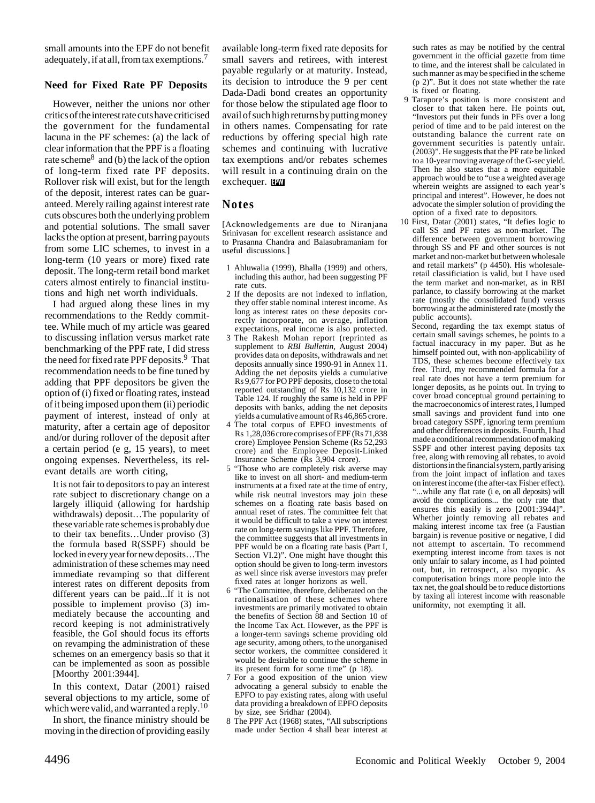small amounts into the EPF do not benefit adequately, if at all, from tax exemptions.<sup>7</sup>

## **Need for Fixed Rate PF Deposits**

However, neither the unions nor other critics of the interest rate cuts have criticised the government for the fundamental lacuna in the PF schemes: (a) the lack of clear information that the PPF is a floating rate scheme8 and (b) the lack of the option of long-term fixed rate PF deposits. Rollover risk will exist, but for the length of the deposit, interest rates can be guaranteed. Merely railing against interest rate cuts obscures both the underlying problem and potential solutions. The small saver lacks the option at present, barring payouts from some LIC schemes, to invest in a long-term (10 years or more) fixed rate deposit. The long-term retail bond market caters almost entirely to financial institutions and high net worth individuals.

I had argued along these lines in my recommendations to the Reddy committee. While much of my article was geared to discussing inflation versus market rate benchmarking of the PPF rate, I did stress the need for fixed rate PPF deposits.<sup>9</sup> That recommendation needs to be fine tuned by adding that PPF depositors be given the option of (i) fixed or floating rates, instead of it being imposed upon them (ii) periodic payment of interest, instead of only at maturity, after a certain age of depositor and/or during rollover of the deposit after a certain period (e g, 15 years), to meet ongoing expenses. Nevertheless, its relevant details are worth citing,

It is not fair to depositors to pay an interest rate subject to discretionary change on a largely illiquid (allowing for hardship withdrawals) deposit…The popularity of these variable rate schemes is probably due to their tax benefits…Under proviso (3) the formula based R(SSPF) should be locked in every year for new deposits…The administration of these schemes may need immediate revamping so that different interest rates on different deposits from different years can be paid...If it is not possible to implement proviso (3) immediately because the accounting and record keeping is not administratively feasible, the GoI should focus its efforts on revamping the administration of these schemes on an emergency basis so that it can be implemented as soon as possible [Moorthy 2001:3944].

In this context, Datar (2001) raised several objections to my article, some of which were valid, and warranted a reply.<sup>10</sup>

In short, the finance ministry should be moving in the direction of providing easily available long-term fixed rate deposits for small savers and retirees, with interest payable regularly or at maturity. Instead, its decision to introduce the 9 per cent Dada-Dadi bond creates an opportunity for those below the stipulated age floor to avail of such high returns by putting money in others names. Compensating for rate reductions by offering special high rate schemes and continuing with lucrative tax exemptions and/or rebates schemes will result in a continuing drain on the exchequer.

## **Notes**

[Acknowledgements are due to Niranjana Srinivasan for excellent research assistance and to Prasanna Chandra and Balasubramaniam for useful discussions.]

- 1 Ahluwalia (1999), Bhalla (1999) and others, including this author, had been suggesting PF rate cuts.
- 2 If the deposits are not indexed to inflation, they offer stable nominal interest income. As long as interest rates on these deposits correctly incorporate, on average, inflation expectations, real income is also protected.
- 3 The Rakesh Mohan report (reprinted as supplement to *RBI Bullettin*, August 2004) provides data on deposits, withdrawals and net deposits annually since 1990-91 in Annex 11. Adding the net deposits yields a cumulative Rs 9,677 for PO PPF deposits, close to the total reported outstanding of Rs 10,132 crore in Table 124. If roughly the same is held in PPF deposits with banks, adding the net deposits yields a cumulative amount of Rs 46,865 crore.
- 4 The total corpus of EPFO investments of Rs 1,28,036 crore comprises of EPF (Rs 71,838 crore) Employee Pension Scheme (Rs 52,293 crore) and the Employee Deposit-Linked Insurance Scheme (Rs 3,904 crore).
- 5 "Those who are completely risk averse may like to invest on all short- and medium-term instruments at a fixed rate at the time of entry, while risk neutral investors may join these schemes on a floating rate basis based on annual reset of rates. The committee felt that it would be difficult to take a view on interest rate on long-term savings like PPF. Therefore, the committee suggests that all investments in PPF would be on a floating rate basis (Part I, Section VI.2)". One might have thought this option should be given to long-term investors as well since risk averse investors may prefer fixed rates at longer horizons as well.
- 6 "The Committee, therefore, deliberated on the rationalisation of these schemes where investments are primarily motivated to obtain the benefits of Section 88 and Section 10 of the Income Tax Act. However, as the PPF is a longer-term savings scheme providing old age security, among others, to the unorganised sector workers, the committee considered it would be desirable to continue the scheme in its present form for some time" (p 18).
- 7 For a good exposition of the union view advocating a general subsidy to enable the EPFO to pay existing rates, along with useful data providing a breakdown of EPFO deposits by size, see Sridhar (2004).
- 8 The PPF Act (1968) states, "All subscriptions made under Section 4 shall bear interest at

such rates as may be notified by the central government in the official gazette from time to time, and the interest shall be calculated in such manner as may be specified in the scheme (p 2)". But it does not state whether the rate is fixed or floating.

- 9 Tarapore's position is more consistent and closer to that taken here. He points out, "Investors put their funds in PFs over a long period of time and to be paid interest on the outstanding balance the current rate on government securities is patently unfair.  $(2003)$ ". He suggests that the PF rate be linked to a 10-year moving average of the G-sec yield. Then he also states that a more equitable approach would be to "use a weighted average wherein weights are assigned to each year's principal and interest". However, he does not advocate the simpler solution of providing the option of a fixed rate to depositors.
- 10 First, Datar (2001) states, "It defies logic to call SS and PF rates as non-market. The difference between government borrowing through SS and PF and other sources is not market and non-market but between wholesale and retail markets" (p 4450). His wholesaleretail classificiation is valid, but I have used the term market and non-market, as in RBI parlance, to classify borrowing at the market rate (mostly the consolidated fund) versus borrowing at the administered rate (mostly the public accounts).

Second, regarding the tax exempt status of certain small savings schemes, he points to a factual inaccuracy in my paper. But as he himself pointed out, with non-applicability of TDS, these schemes become effectively tax free. Third, my recommended formula for a real rate does not have a term premium for longer deposits, as he points out. In trying to cover broad conceptual ground pertaining to the macroeconomics of interest rates, I lumped small savings and provident fund into one broad category SSPF, ignoring term premium and other differences in deposits. Fourth, I had made a conditional recommendation of making SSPF and other interest paying deposits tax free, along with removing all rebates, to avoid distortions in the financial system, partly arising from the joint impact of inflation and taxes on interest income (the after-tax Fisher effect). ...while any flat rate (i e, on all deposits) will avoid the complications... the only rate that ensures this easily is zero [2001:3944]". Whether jointly removing all rebates and making interest income tax free (a Faustian bargain) is revenue positive or negative, I did not attempt to ascertain. To recommend exempting interest income from taxes is not only unfair to salary income, as I had pointed out, but, in retrospect, also myopic. As computerisation brings more people into the tax net, the goal should be to reduce distortions by taxing all interest income with reasonable uniformity, not exempting it all.